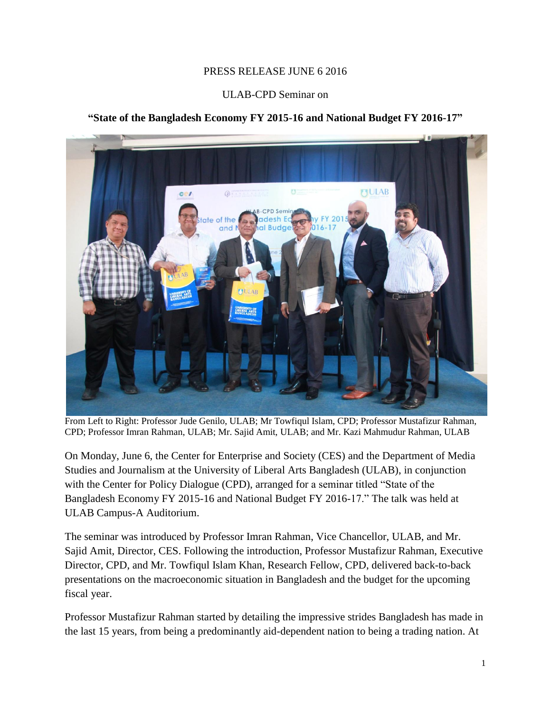## PRESS RELEASE JUNE 6 2016

## ULAB-CPD Seminar on

## **"State of the Bangladesh Economy FY 2015-16 and National Budget FY 2016-17"**



From Left to Right: Professor Jude Genilo, ULAB; Mr Towfiqul Islam, CPD; Professor Mustafizur Rahman, CPD; Professor Imran Rahman, ULAB; Mr. Sajid Amit, ULAB; and Mr. Kazi Mahmudur Rahman, ULAB

On Monday, June 6, the Center for Enterprise and Society (CES) and the Department of Media Studies and Journalism at the University of Liberal Arts Bangladesh (ULAB), in conjunction with the Center for Policy Dialogue (CPD), arranged for a seminar titled "State of the Bangladesh Economy FY 2015-16 and National Budget FY 2016-17." The talk was held at ULAB Campus-A Auditorium.

The seminar was introduced by Professor Imran Rahman, Vice Chancellor, ULAB, and Mr. Sajid Amit, Director, CES. Following the introduction, Professor Mustafizur Rahman, Executive Director, CPD, and Mr. Towfiqul Islam Khan, Research Fellow, CPD, delivered back-to-back presentations on the macroeconomic situation in Bangladesh and the budget for the upcoming fiscal year.

Professor Mustafizur Rahman started by detailing the impressive strides Bangladesh has made in the last 15 years, from being a predominantly aid-dependent nation to being a trading nation. At